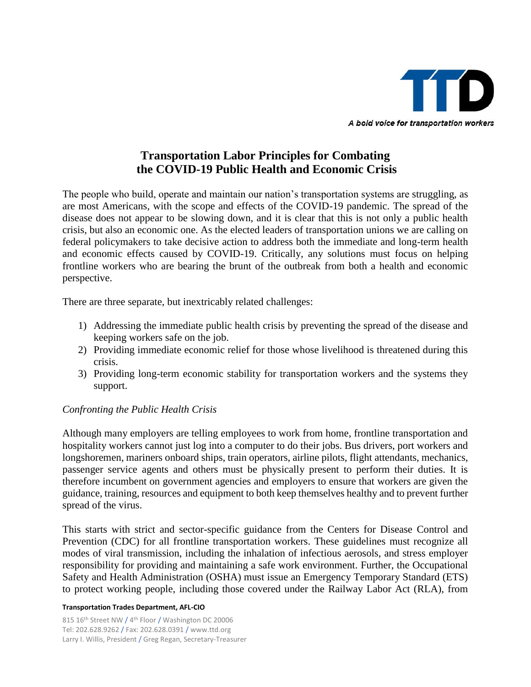

# **Transportation Labor Principles for Combating the COVID-19 Public Health and Economic Crisis**

The people who build, operate and maintain our nation's transportation systems are struggling, as are most Americans, with the scope and effects of the COVID-19 pandemic. The spread of the disease does not appear to be slowing down, and it is clear that this is not only a public health crisis, but also an economic one. As the elected leaders of transportation unions we are calling on federal policymakers to take decisive action to address both the immediate and long-term health and economic effects caused by COVID-19. Critically, any solutions must focus on helping frontline workers who are bearing the brunt of the outbreak from both a health and economic perspective.

There are three separate, but inextricably related challenges:

- 1) Addressing the immediate public health crisis by preventing the spread of the disease and keeping workers safe on the job.
- 2) Providing immediate economic relief for those whose livelihood is threatened during this crisis.
- 3) Providing long-term economic stability for transportation workers and the systems they support.

# *Confronting the Public Health Crisis*

Although many employers are telling employees to work from home, frontline transportation and hospitality workers cannot just log into a computer to do their jobs. Bus drivers, port workers and longshoremen, mariners onboard ships, train operators, airline pilots, flight attendants, mechanics, passenger service agents and others must be physically present to perform their duties. It is therefore incumbent on government agencies and employers to ensure that workers are given the guidance, training, resources and equipment to both keep themselves healthy and to prevent further spread of the virus.

This starts with strict and sector-specific guidance from the Centers for Disease Control and Prevention (CDC) for all frontline transportation workers. These guidelines must recognize all modes of viral transmission, including the inhalation of infectious aerosols, and stress employer responsibility for providing and maintaining a safe work environment. Further, the Occupational Safety and Health Administration (OSHA) must issue an Emergency Temporary Standard (ETS) to protect working people, including those covered under the Railway Labor Act (RLA), from

#### **Transportation Trades Department, AFL-CIO**

815 16<sup>th</sup> Street NW / 4<sup>th</sup> Floor / Washington DC 20006 Tel: 202.628.9262 / Fax: 202.628.0391 / www.ttd.org Larry I. Willis, President / Greg Regan, Secretary-Treasurer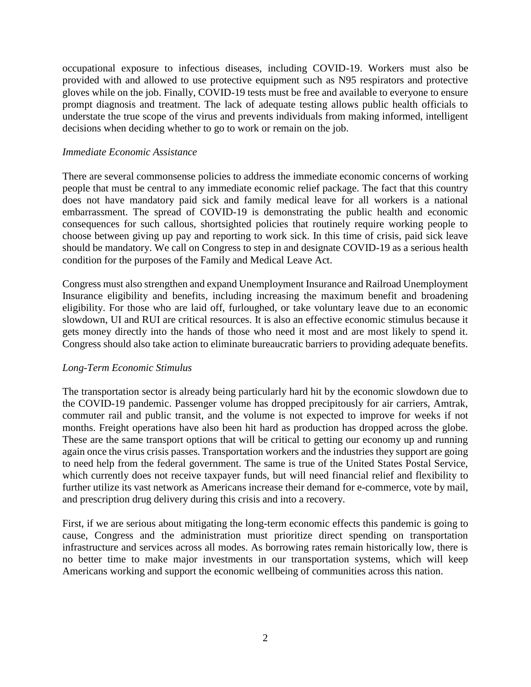occupational exposure to infectious diseases, including COVID-19. Workers must also be provided with and allowed to use protective equipment such as N95 respirators and protective gloves while on the job. Finally, COVID-19 tests must be free and available to everyone to ensure prompt diagnosis and treatment. The lack of adequate testing allows public health officials to understate the true scope of the virus and prevents individuals from making informed, intelligent decisions when deciding whether to go to work or remain on the job.

### *Immediate Economic Assistance*

There are several commonsense policies to address the immediate economic concerns of working people that must be central to any immediate economic relief package. The fact that this country does not have mandatory paid sick and family medical leave for all workers is a national embarrassment. The spread of COVID-19 is demonstrating the public health and economic consequences for such callous, shortsighted policies that routinely require working people to choose between giving up pay and reporting to work sick. In this time of crisis, paid sick leave should be mandatory. We call on Congress to step in and designate COVID-19 as a serious health condition for the purposes of the Family and Medical Leave Act.

Congress must also strengthen and expand Unemployment Insurance and Railroad Unemployment Insurance eligibility and benefits, including increasing the maximum benefit and broadening eligibility. For those who are laid off, furloughed, or take voluntary leave due to an economic slowdown, UI and RUI are critical resources. It is also an effective economic stimulus because it gets money directly into the hands of those who need it most and are most likely to spend it. Congress should also take action to eliminate bureaucratic barriers to providing adequate benefits.

# *Long-Term Economic Stimulus*

The transportation sector is already being particularly hard hit by the economic slowdown due to the COVID-19 pandemic. Passenger volume has dropped precipitously for air carriers, Amtrak, commuter rail and public transit, and the volume is not expected to improve for weeks if not months. Freight operations have also been hit hard as production has dropped across the globe. These are the same transport options that will be critical to getting our economy up and running again once the virus crisis passes. Transportation workers and the industries they support are going to need help from the federal government. The same is true of the United States Postal Service, which currently does not receive taxpayer funds, but will need financial relief and flexibility to further utilize its vast network as Americans increase their demand for e-commerce, vote by mail, and prescription drug delivery during this crisis and into a recovery.

First, if we are serious about mitigating the long-term economic effects this pandemic is going to cause, Congress and the administration must prioritize direct spending on transportation infrastructure and services across all modes. As borrowing rates remain historically low, there is no better time to make major investments in our transportation systems, which will keep Americans working and support the economic wellbeing of communities across this nation.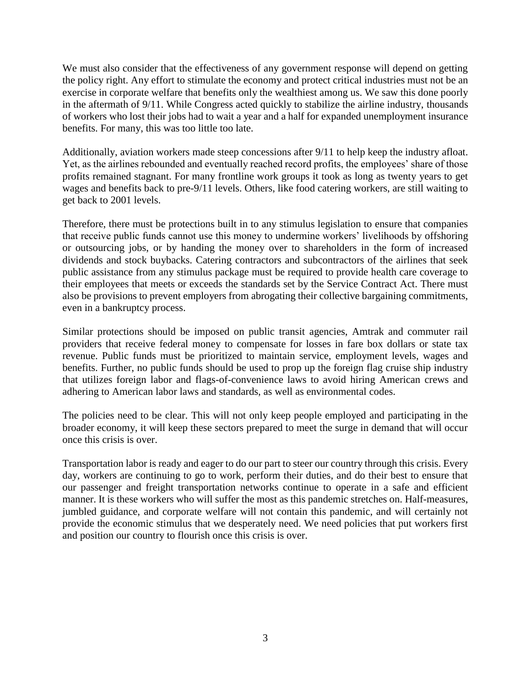We must also consider that the effectiveness of any government response will depend on getting the policy right. Any effort to stimulate the economy and protect critical industries must not be an exercise in corporate welfare that benefits only the wealthiest among us. We saw this done poorly in the aftermath of 9/11. While Congress acted quickly to stabilize the airline industry, thousands of workers who lost their jobs had to wait a year and a half for expanded unemployment insurance benefits. For many, this was too little too late.

Additionally, aviation workers made steep concessions after 9/11 to help keep the industry afloat. Yet, as the airlines rebounded and eventually reached record profits, the employees' share of those profits remained stagnant. For many frontline work groups it took as long as twenty years to get wages and benefits back to pre-9/11 levels. Others, like food catering workers, are still waiting to get back to 2001 levels.

Therefore, there must be protections built in to any stimulus legislation to ensure that companies that receive public funds cannot use this money to undermine workers' livelihoods by offshoring or outsourcing jobs, or by handing the money over to shareholders in the form of increased dividends and stock buybacks. Catering contractors and subcontractors of the airlines that seek public assistance from any stimulus package must be required to provide health care coverage to their employees that meets or exceeds the standards set by the Service Contract Act. There must also be provisions to prevent employers from abrogating their collective bargaining commitments, even in a bankruptcy process.

Similar protections should be imposed on public transit agencies, Amtrak and commuter rail providers that receive federal money to compensate for losses in fare box dollars or state tax revenue. Public funds must be prioritized to maintain service, employment levels, wages and benefits. Further, no public funds should be used to prop up the foreign flag cruise ship industry that utilizes foreign labor and flags-of-convenience laws to avoid hiring American crews and adhering to American labor laws and standards, as well as environmental codes.

The policies need to be clear. This will not only keep people employed and participating in the broader economy, it will keep these sectors prepared to meet the surge in demand that will occur once this crisis is over.

Transportation labor is ready and eager to do our part to steer our country through this crisis. Every day, workers are continuing to go to work, perform their duties, and do their best to ensure that our passenger and freight transportation networks continue to operate in a safe and efficient manner. It is these workers who will suffer the most as this pandemic stretches on. Half-measures, jumbled guidance, and corporate welfare will not contain this pandemic, and will certainly not provide the economic stimulus that we desperately need. We need policies that put workers first and position our country to flourish once this crisis is over.